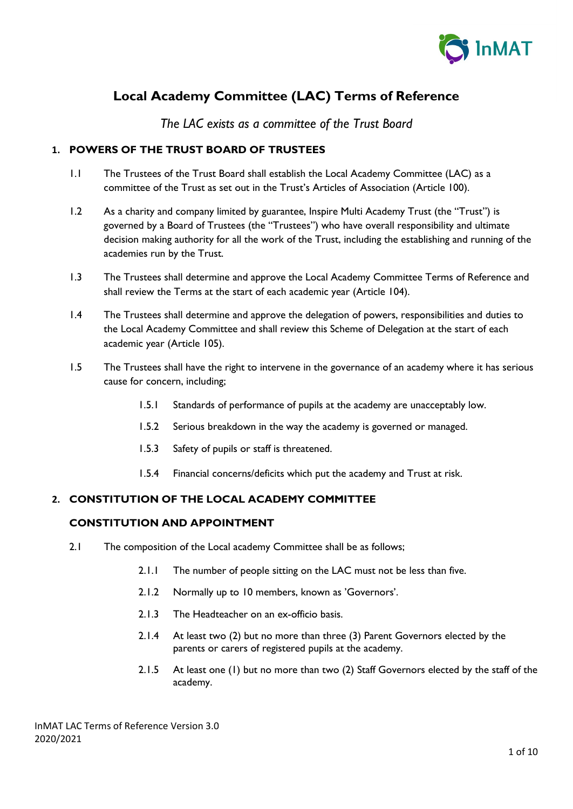

# **Local Academy Committee (LAC) Terms of Reference**

*The LAC exists as a committee of the Trust Board*

# **1. POWERS OF THE TRUST BOARD OF TRUSTEES**

- 1.1 The Trustees of the Trust Board shall establish the Local Academy Committee (LAC) as a committee of the Trust as set out in the Trust's Articles of Association (Article 100).
- 1.2 As a charity and company limited by guarantee, Inspire Multi Academy Trust (the "Trust") is governed by a Board of Trustees (the "Trustees") who have overall responsibility and ultimate decision making authority for all the work of the Trust, including the establishing and running of the academies run by the Trust.
- 1.3 The Trustees shall determine and approve the Local Academy Committee Terms of Reference and shall review the Terms at the start of each academic year (Article 104).
- 1.4 The Trustees shall determine and approve the delegation of powers, responsibilities and duties to the Local Academy Committee and shall review this Scheme of Delegation at the start of each academic year (Article 105).
- 1.5 The Trustees shall have the right to intervene in the governance of an academy where it has serious cause for concern, including;
	- 1.5.1 Standards of performance of pupils at the academy are unacceptably low.
	- 1.5.2 Serious breakdown in the way the academy is governed or managed.
	- 1.5.3 Safety of pupils or staff is threatened.
	- 1.5.4 Financial concerns/deficits which put the academy and Trust at risk.

## **2. CONSTITUTION OF THE LOCAL ACADEMY COMMITTEE**

## **CONSTITUTION AND APPOINTMENT**

- 2.1 The composition of the Local academy Committee shall be as follows;
	- 2.1.1 The number of people sitting on the LAC must not be less than five.
	- 2.1.2 Normally up to 10 members, known as 'Governors'.
	- 2.1.3 The Headteacher on an ex-officio basis.
	- 2.1.4 At least two (2) but no more than three (3) Parent Governors elected by the parents or carers of registered pupils at the academy.
	- 2.1.5 At least one (1) but no more than two (2) Staff Governors elected by the staff of the academy.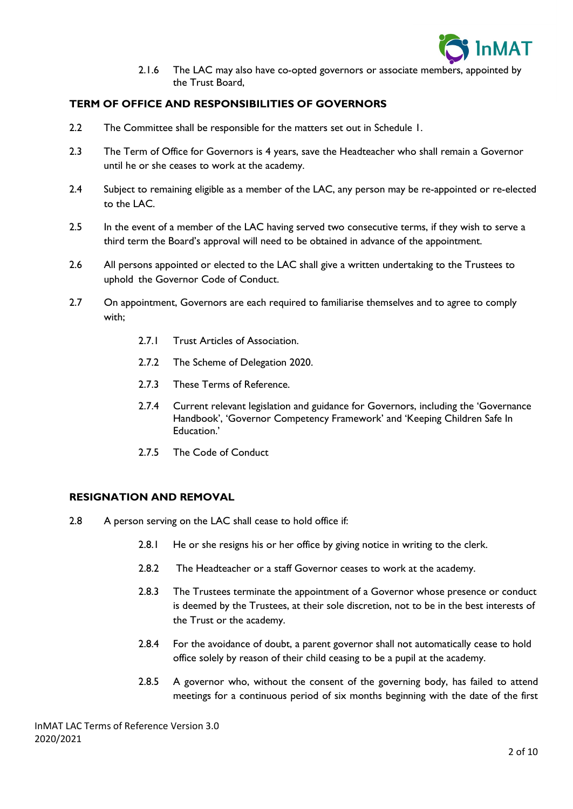

2.1.6 The LAC may also have co-opted governors or associate members, appointed by the Trust Board,

## **TERM OF OFFICE AND RESPONSIBILITIES OF GOVERNORS**

- 2.2 The Committee shall be responsible for the matters set out in Schedule 1.
- 2.3 The Term of Office for Governors is 4 years, save the Headteacher who shall remain a Governor until he or she ceases to work at the academy.
- 2.4 Subject to remaining eligible as a member of the LAC, any person may be re-appointed or re-elected to the LAC.
- 2.5 In the event of a member of the LAC having served two consecutive terms, if they wish to serve a third term the Board's approval will need to be obtained in advance of the appointment.
- 2.6 All persons appointed or elected to the LAC shall give a written undertaking to the Trustees to uphold the Governor Code of Conduct.
- 2.7 On appointment, Governors are each required to familiarise themselves and to agree to comply with;
	- 2.7.1 Trust Articles of Association.
	- 2.7.2 The Scheme of Delegation 2020.
	- 2.7.3 These Terms of Reference.
	- 2.7.4 Current relevant legislation and guidance for Governors, including the 'Governance Handbook', 'Governor Competency Framework' and 'Keeping Children Safe In Education.'
	- 2.7.5 The Code of Conduct

## **RESIGNATION AND REMOVAL**

- 2.8 A person serving on the LAC shall cease to hold office if:
	- 2.8.1 He or she resigns his or her office by giving notice in writing to the clerk.
	- 2.8.2 The Headteacher or a staff Governor ceases to work at the academy.
	- 2.8.3 The Trustees terminate the appointment of a Governor whose presence or conduct is deemed by the Trustees, at their sole discretion, not to be in the best interests of the Trust or the academy.
	- 2.8.4 For the avoidance of doubt, a parent governor shall not automatically cease to hold office solely by reason of their child ceasing to be a pupil at the academy.
	- 2.8.5 A governor who, without the consent of the governing body, has failed to attend meetings for a continuous period of six months beginning with the date of the first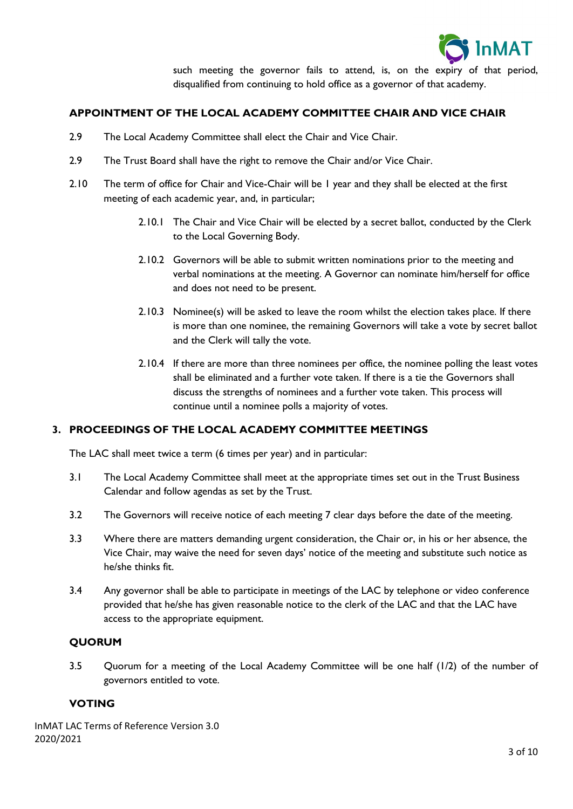

such meeting the governor fails to attend, is, on the expiry of that period, disqualified from continuing to hold office as a governor of that academy.

# **APPOINTMENT OF THE LOCAL ACADEMY COMMITTEE CHAIR AND VICE CHAIR**

- 2.9 The Local Academy Committee shall elect the Chair and Vice Chair.
- 2.9 The Trust Board shall have the right to remove the Chair and/or Vice Chair.
- 2.10 The term of office for Chair and Vice-Chair will be 1 year and they shall be elected at the first meeting of each academic year, and, in particular;
	- 2.10.1 The Chair and Vice Chair will be elected by a secret ballot, conducted by the Clerk to the Local Governing Body.
	- 2.10.2 Governors will be able to submit written nominations prior to the meeting and verbal nominations at the meeting. A Governor can nominate him/herself for office and does not need to be present.
	- 2.10.3 Nominee(s) will be asked to leave the room whilst the election takes place. If there is more than one nominee, the remaining Governors will take a vote by secret ballot and the Clerk will tally the vote.
	- 2.10.4 If there are more than three nominees per office, the nominee polling the least votes shall be eliminated and a further vote taken. If there is a tie the Governors shall discuss the strengths of nominees and a further vote taken. This process will continue until a nominee polls a majority of votes.

## **3. PROCEEDINGS OF THE LOCAL ACADEMY COMMITTEE MEETINGS**

The LAC shall meet twice a term (6 times per year) and in particular:

- 3.1 The Local Academy Committee shall meet at the appropriate times set out in the Trust Business Calendar and follow agendas as set by the Trust.
- 3.2 The Governors will receive notice of each meeting 7 clear days before the date of the meeting.
- 3.3 Where there are matters demanding urgent consideration, the Chair or, in his or her absence, the Vice Chair, may waive the need for seven days' notice of the meeting and substitute such notice as he/she thinks fit.
- 3.4 Any governor shall be able to participate in meetings of the LAC by telephone or video conference provided that he/she has given reasonable notice to the clerk of the LAC and that the LAC have access to the appropriate equipment.

#### **QUORUM**

3.5 Quorum for a meeting of the Local Academy Committee will be one half (1/2) of the number of governors entitled to vote.

#### **VOTING**

InMAT LAC Terms of Reference Version 3.0 2020/2021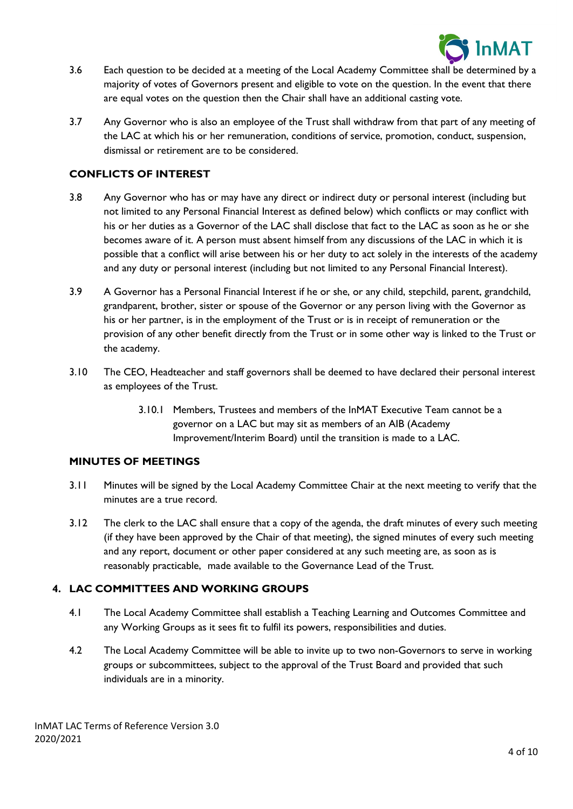

- 3.6 Each question to be decided at a meeting of the Local Academy Committee shall be determined by a majority of votes of Governors present and eligible to vote on the question. In the event that there are equal votes on the question then the Chair shall have an additional casting vote.
- 3.7 Any Governor who is also an employee of the Trust shall withdraw from that part of any meeting of the LAC at which his or her remuneration, conditions of service, promotion, conduct, suspension, dismissal or retirement are to be considered.

## **CONFLICTS OF INTEREST**

- 3.8 Any Governor who has or may have any direct or indirect duty or personal interest (including but not limited to any Personal Financial Interest as defined below) which conflicts or may conflict with his or her duties as a Governor of the LAC shall disclose that fact to the LAC as soon as he or she becomes aware of it. A person must absent himself from any discussions of the LAC in which it is possible that a conflict will arise between his or her duty to act solely in the interests of the academy and any duty or personal interest (including but not limited to any Personal Financial Interest).
- 3.9 A Governor has a Personal Financial Interest if he or she, or any child, stepchild, parent, grandchild, grandparent, brother, sister or spouse of the Governor or any person living with the Governor as his or her partner, is in the employment of the Trust or is in receipt of remuneration or the provision of any other benefit directly from the Trust or in some other way is linked to the Trust or the academy.
- 3.10 The CEO, Headteacher and staff governors shall be deemed to have declared their personal interest as employees of the Trust.
	- 3.10.1 Members, Trustees and members of the InMAT Executive Team cannot be a governor on a LAC but may sit as members of an AIB (Academy Improvement/Interim Board) until the transition is made to a LAC.

## **MINUTES OF MEETINGS**

- 3.11 Minutes will be signed by the Local Academy Committee Chair at the next meeting to verify that the minutes are a true record.
- 3.12 The clerk to the LAC shall ensure that a copy of the agenda, the draft minutes of every such meeting (if they have been approved by the Chair of that meeting), the signed minutes of every such meeting and any report, document or other paper considered at any such meeting are, as soon as is reasonably practicable, made available to the Governance Lead of the Trust.

## **4. LAC COMMITTEES AND WORKING GROUPS**

- 4.1 The Local Academy Committee shall establish a Teaching Learning and Outcomes Committee and any Working Groups as it sees fit to fulfil its powers, responsibilities and duties.
- 4.2 The Local Academy Committee will be able to invite up to two non-Governors to serve in working groups or subcommittees, subject to the approval of the Trust Board and provided that such individuals are in a minority.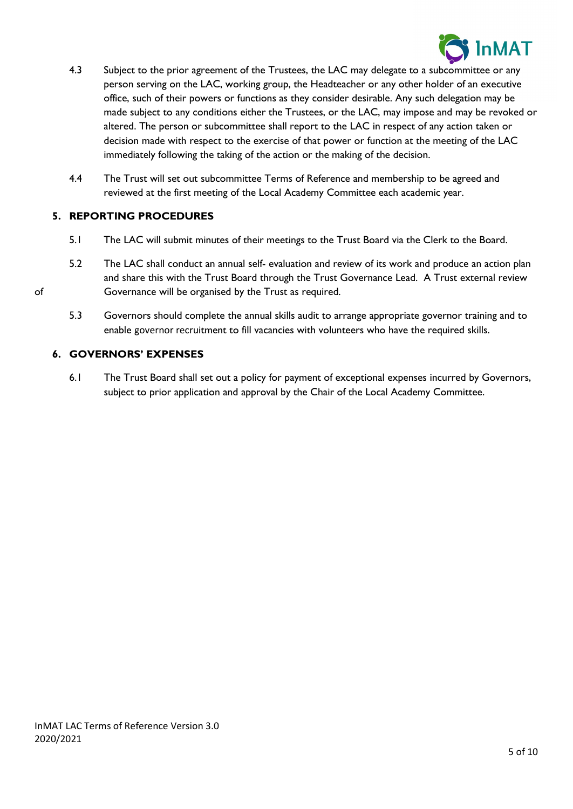

- 4.3 Subject to the prior agreement of the Trustees, the LAC may delegate to a subcommittee or any person serving on the LAC, working group, the Headteacher or any other holder of an executive office, such of their powers or functions as they consider desirable. Any such delegation may be made subject to any conditions either the Trustees, or the LAC, may impose and may be revoked or altered. The person or subcommittee shall report to the LAC in respect of any action taken or decision made with respect to the exercise of that power or function at the meeting of the LAC immediately following the taking of the action or the making of the decision.
- 4.4 The Trust will set out subcommittee Terms of Reference and membership to be agreed and reviewed at the first meeting of the Local Academy Committee each academic year.

# **5. REPORTING PROCEDURES**

- 5.1 The LAC will submit minutes of their meetings to the Trust Board via the Clerk to the Board.
- 5.2 The LAC shall conduct an annual self- evaluation and review of its work and produce an action plan and share this with the Trust Board through the Trust Governance Lead. A Trust external review of Governance will be organised by the Trust as required.
	- 5.3 Governors should complete the annual skills audit to arrange appropriate governor training and to enable governor recruitment to fill vacancies with volunteers who have the required skills.

## **6. GOVERNORS' EXPENSES**

6.1 The Trust Board shall set out a policy for payment of exceptional expenses incurred by Governors, subject to prior application and approval by the Chair of the Local Academy Committee.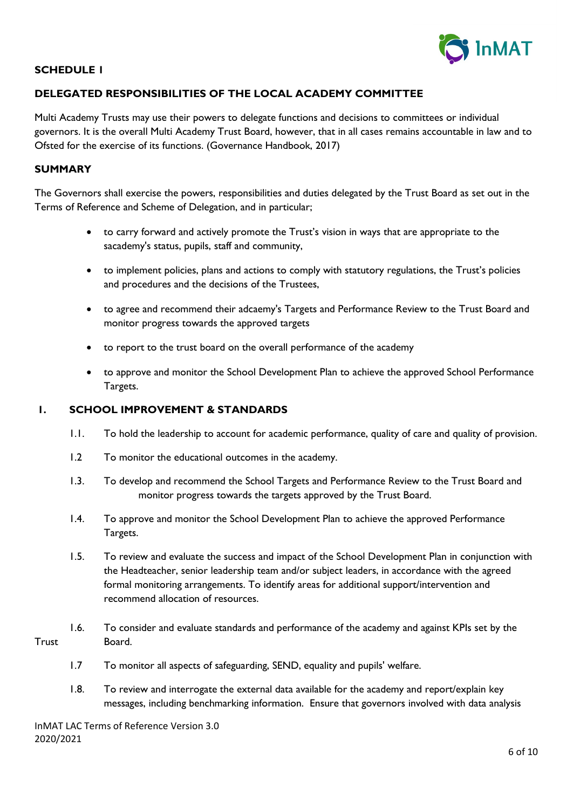

## **SCHEDULE 1**

# **DELEGATED RESPONSIBILITIES OF THE LOCAL ACADEMY COMMITTEE**

Multi Academy Trusts may use their powers to delegate functions and decisions to committees or individual governors. It is the overall Multi Academy Trust Board, however, that in all cases remains accountable in law and to Ofsted for the exercise of its functions. (Governance Handbook, 2017)

#### **SUMMARY**

The Governors shall exercise the powers, responsibilities and duties delegated by the Trust Board as set out in the Terms of Reference and Scheme of Delegation, and in particular;

- to carry forward and actively promote the Trust's vision in ways that are appropriate to the sacademy's status, pupils, staff and community,
- to implement policies, plans and actions to comply with statutory regulations, the Trust's policies and procedures and the decisions of the Trustees,
- to agree and recommend their adcaemy's Targets and Performance Review to the Trust Board and monitor progress towards the approved targets
- to report to the trust board on the overall performance of the academy
- to approve and monitor the School Development Plan to achieve the approved School Performance Targets.

#### **1. SCHOOL IMPROVEMENT & STANDARDS**

- 1.1. To hold the leadership to account for academic performance, quality of care and quality of provision.
- 1.2 To monitor the educational outcomes in the academy.
- 1.3. To develop and recommend the School Targets and Performance Review to the Trust Board and monitor progress towards the targets approved by the Trust Board.
- 1.4. To approve and monitor the School Development Plan to achieve the approved Performance Targets.
- 1.5. To review and evaluate the success and impact of the School Development Plan in conjunction with the Headteacher, senior leadership team and/or subject leaders, in accordance with the agreed formal monitoring arrangements. To identify areas for additional support/intervention and recommend allocation of resources.
- 1.6. To consider and evaluate standards and performance of the academy and against KPIs set by the Trust Board.
	- 1.7 To monitor all aspects of safeguarding, SEND, equality and pupils' welfare.
	- 1.8. To review and interrogate the external data available for the academy and report/explain key messages, including benchmarking information. Ensure that governors involved with data analysis

InMAT LAC Terms of Reference Version 3.0 2020/2021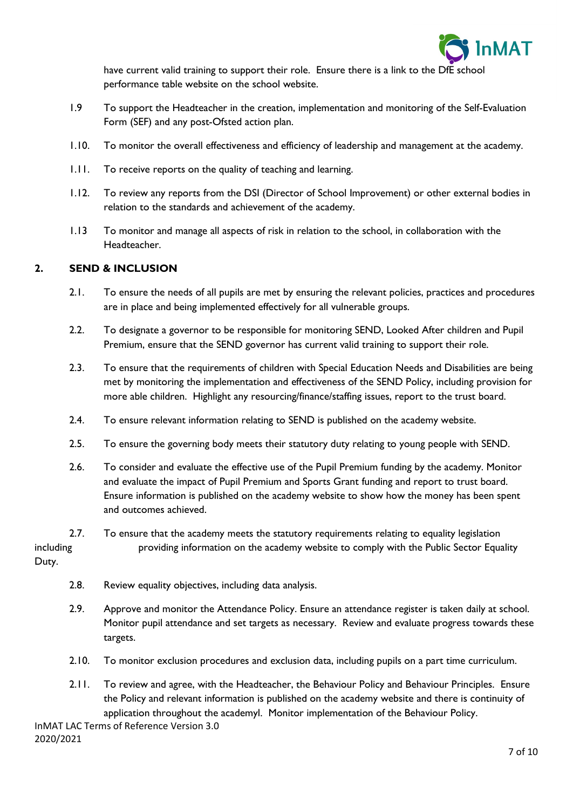

have current valid training to support their role. Ensure there is a link to the DfE school performance table website on the school website.

- 1.9 To support the Headteacher in the creation, implementation and monitoring of the Self-Evaluation Form (SEF) and any post-Ofsted action plan.
- 1.10. To monitor the overall effectiveness and efficiency of leadership and management at the academy.
- 1.11. To receive reports on the quality of teaching and learning.
- 1.12. To review any reports from the DSI (Director of School Improvement) or other external bodies in relation to the standards and achievement of the academy.
- 1.13 To monitor and manage all aspects of risk in relation to the school, in collaboration with the Headteacher.

# **2. SEND & INCLUSION**

- 2.1. To ensure the needs of all pupils are met by ensuring the relevant policies, practices and procedures are in place and being implemented effectively for all vulnerable groups.
- 2.2. To designate a governor to be responsible for monitoring SEND, Looked After children and Pupil Premium, ensure that the SEND governor has current valid training to support their role.
- 2.3. To ensure that the requirements of children with Special Education Needs and Disabilities are being met by monitoring the implementation and effectiveness of the SEND Policy, including provision for more able children. Highlight any resourcing/finance/staffing issues, report to the trust board.
- 2.4. To ensure relevant information relating to SEND is published on the academy website.
- 2.5. To ensure the governing body meets their statutory duty relating to young people with SEND.
- 2.6. To consider and evaluate the effective use of the Pupil Premium funding by the academy. Monitor and evaluate the impact of Pupil Premium and Sports Grant funding and report to trust board. Ensure information is published on the academy website to show how the money has been spent and outcomes achieved.
- 2.7. To ensure that the academy meets the statutory requirements relating to equality legislation including **providing information on the academy website to comply with the Public Sector Equality** Duty.
	- 2.8. Review equality objectives, including data analysis.
	- 2.9. Approve and monitor the Attendance Policy. Ensure an attendance register is taken daily at school. Monitor pupil attendance and set targets as necessary. Review and evaluate progress towards these targets.
	- 2.10. To monitor exclusion procedures and exclusion data, including pupils on a part time curriculum.
	- 2.11. To review and agree, with the Headteacher, the Behaviour Policy and Behaviour Principles. Ensure the Policy and relevant information is published on the academy website and there is continuity of application throughout the academyl. Monitor implementation of the Behaviour Policy.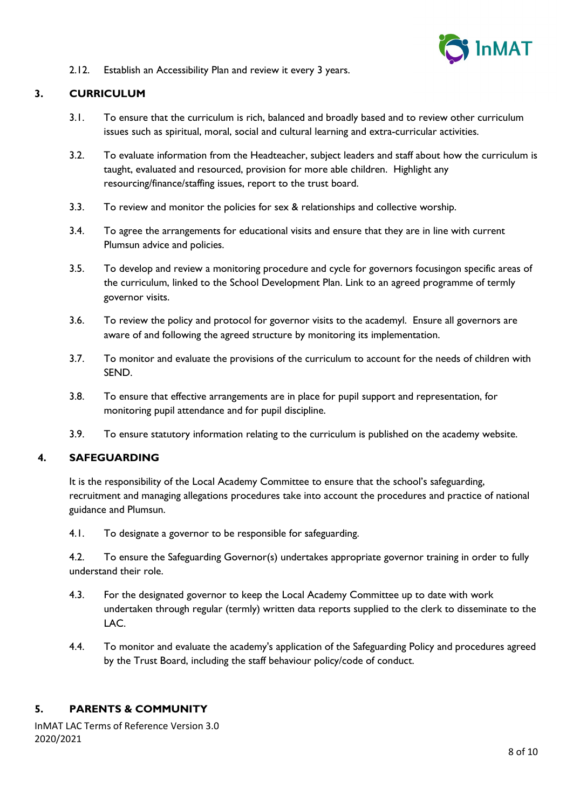

2.12. Establish an Accessibility Plan and review it every 3 years.

# **3. CURRICULUM**

- 3.1. To ensure that the curriculum is rich, balanced and broadly based and to review other curriculum issues such as spiritual, moral, social and cultural learning and extra-curricular activities.
- 3.2. To evaluate information from the Headteacher, subject leaders and staff about how the curriculum is taught, evaluated and resourced, provision for more able children. Highlight any resourcing/finance/staffing issues, report to the trust board.
- 3.3. To review and monitor the policies for sex & relationships and collective worship.
- 3.4. To agree the arrangements for educational visits and ensure that they are in line with current Plumsun advice and policies.
- 3.5. To develop and review a monitoring procedure and cycle for governors focusingon specific areas of the curriculum, linked to the School Development Plan. Link to an agreed programme of termly governor visits.
- 3.6. To review the policy and protocol for governor visits to the academyl. Ensure all governors are aware of and following the agreed structure by monitoring its implementation.
- 3.7. To monitor and evaluate the provisions of the curriculum to account for the needs of children with SEND.
- 3.8. To ensure that effective arrangements are in place for pupil support and representation, for monitoring pupil attendance and for pupil discipline.
- 3.9. To ensure statutory information relating to the curriculum is published on the academy website.

# **4. SAFEGUARDING**

It is the responsibility of the Local Academy Committee to ensure that the school's safeguarding, recruitment and managing allegations procedures take into account the procedures and practice of national guidance and Plumsun.

4.1. To designate a governor to be responsible for safeguarding.

4.2. To ensure the Safeguarding Governor(s) undertakes appropriate governor training in order to fully understand their role.

- 4.3. For the designated governor to keep the Local Academy Committee up to date with work undertaken through regular (termly) written data reports supplied to the clerk to disseminate to the LAC.
- 4.4. To monitor and evaluate the academy's application of the Safeguarding Policy and procedures agreed by the Trust Board, including the staff behaviour policy/code of conduct.

## **5. PARENTS & COMMUNITY**

InMAT LAC Terms of Reference Version 3.0 2020/2021